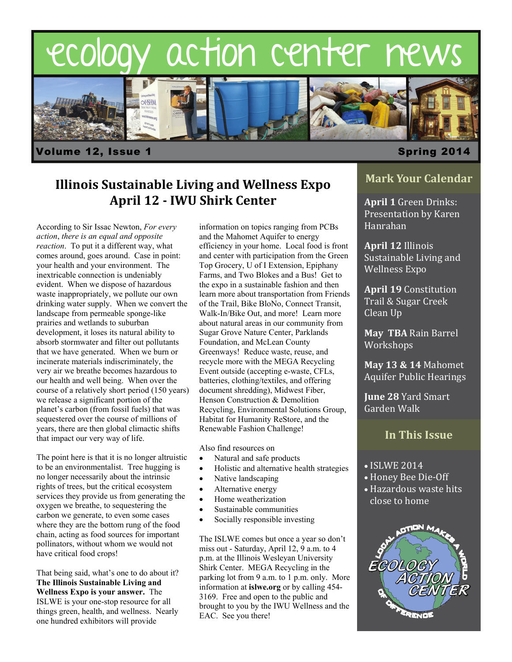



### volume 12, Issue 1 Spring 2014

# **Illinois Sustainable Living and Wellness Expo April 12 - IWU Shirk Center April 1** Green Drinks:

According to Sir Issac Newton, *For every action*, *there is an equal and opposite reaction*. To put it a different way, what comes around, goes around. Case in point: your health and your environment. The inextricable connection is undeniably evident. When we dispose of hazardous waste inappropriately, we pollute our own drinking water supply. When we convert the landscape from permeable sponge-like prairies and wetlands to suburban development, it loses its natural ability to absorb stormwater and filter out pollutants that we have generated. When we burn or incinerate materials indiscriminately, the very air we breathe becomes hazardous to our health and well being. When over the course of a relatively short period (150 years) we release a significant portion of the planet's carbon (from fossil fuels) that was sequestered over the course of millions of years, there are then global climactic shifts that impact our very way of life.

The point here is that it is no longer altruistic to be an environmentalist. Tree hugging is no longer necessarily about the intrinsic rights of trees, but the critical ecosystem services they provide us from generating the oxygen we breathe, to sequestering the carbon we generate, to even some cases where they are the bottom rung of the food chain, acting as food sources for important pollinators, without whom we would not have critical food crops!

That being said, what's one to do about it? **The Illinois Sustainable Living and Wellness Expo is your answer.** The ISLWE is your one-stop resource for all things green, health, and wellness. Nearly one hundred exhibitors will provide

information on topics ranging from PCBs and the Mahomet Aquifer to energy efficiency in your home. Local food is front and center with participation from the Green Top Grocery, U of I Extension, Epiphany Farms, and Two Blokes and a Bus! Get to the expo in a sustainable fashion and then learn more about transportation from Friends of the Trail, Bike BloNo, Connect Transit, Walk-In/Bike Out, and more! Learn more about natural areas in our community from Sugar Grove Nature Center, Parklands Foundation, and McLean County Greenways! Reduce waste, reuse, and recycle more with the MEGA Recycling Event outside (accepting e-waste, CFLs, batteries, clothing/textiles, and offering document shredding), Midwest Fiber, Henson Construction & Demolition Recycling, Environmental Solutions Group, Habitat for Humanity ReStore, and the Renewable Fashion Challenge!

Also find resources on

- Natural and safe products
- Holistic and alternative health strategies
- Native landscaping
- Alternative energy
- Home weatherization
- Sustainable communities
- Socially responsible investing

The ISLWE comes but once a year so don't miss out - Saturday, April 12, 9 a.m. to 4 p.m. at the Illinois Wesleyan University Shirk Center. MEGA Recycling in the parking lot from 9 a.m. to 1 p.m. only. More information at **islwe.org** or by calling 454- 3169. Free and open to the public and brought to you by the IWU Wellness and the EAC. See you there!

### **Mark Your Calendar**

Presentation by Karen Hanrahan 

**April 12** Illinois Sustainable Living and Wellness Expo

**April 19** Constitution Trail & Sugar Creek Clean Up

**May TBA** Rain Barrel Workshops 

**May 13 & 14** Mahomet Aquifer Public Hearings 

**June 28 Yard Smart** Garden Walk 

### **In This Issue**

- $\bullet$  ISLWE 2014
- Honey Bee Die-Off
- Hazardous waste hits close to home

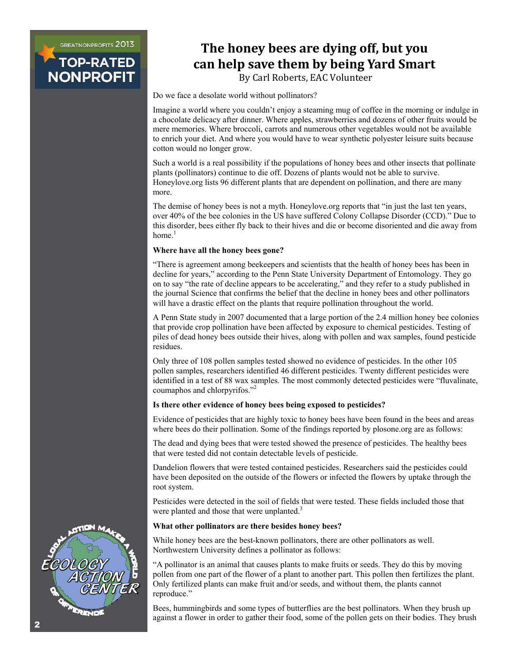**GREATNONPROFITS 2013** 

**TOP-RAT NONPROFI** 

# **The honey bees are dying off, but you can help save them by being Yard Smart**

By Carl Roberts, EAC Volunteer

 Do we face a desolate world without pollinators?

Imagine a world where you couldn't enjoy a steaming mug of coffee in the morning or indulge in a chocolate delicacy after dinner. Where apples, strawberries and dozens of other fruits would be mere memories. Where broccoli, carrots and numerous other vegetables would not be available to enrich your diet. And where you would have to wear synthetic polyester leisure suits because cotton would no longer grow.

Such a world is a real possibility if the populations of honey bees and other insects that pollinate plants (pollinators) continue to die off. Dozens of plants would not be able to survive. Honeylove.org lists 96 different plants that are dependent on pollination, and there are many more.

The demise of honey bees is not a myth. Honeylove.org reports that "in just the last ten years, over 40% of the bee colonies in the US have suffered Colony Collapse Disorder (CCD)." Due to this disorder, bees either fly back to their hives and die or become disoriented and die away from home. $<sup>1</sup>$ </sup>

#### **Where have all the honey bees gone?**

"There is agreement among beekeepers and scientists that the health of honey bees has been in decline for years," according to the Penn State University Department of Entomology. They go on to say "the rate of decline appears to be accelerating," and they refer to a study published in the journal Science that confirms the belief that the decline in honey bees and other pollinators will have a drastic effect on the plants that require pollination throughout the world.

A Penn State study in 2007 documented that a large portion of the 2.4 million honey bee colonies that provide crop pollination have been affected by exposure to chemical pesticides. Testing of piles of dead honey bees outside their hives, along with pollen and wax samples, found pesticide residues.

Only three of 108 pollen samples tested showed no evidence of pesticides. In the other 105 pollen samples, researchers identified 46 different pesticides. Twenty different pesticides were identified in a test of 88 wax samples. The most commonly detected pesticides were "fluvalinate, coumaphos and chlorpyrifos."2

#### **Is there other evidence of honey bees being exposed to pesticides?**

Evidence of pesticides that are highly toxic to honey bees have been found in the bees and areas where bees do their pollination. Some of the findings reported by plosone.org are as follows:

The dead and dying bees that were tested showed the presence of pesticides. The healthy bees that were tested did not contain detectable levels of pesticide.

Dandelion flowers that were tested contained pesticides. Researchers said the pesticides could have been deposited on the outside of the flowers or infected the flowers by uptake through the root system.

Pesticides were detected in the soil of fields that were tested. These fields included those that were planted and those that were unplanted.<sup>3</sup>

#### **What other pollinators are there besides honey bees?**

While honey bees are the best-known pollinators, there are other pollinators as well. Northwestern University defines a pollinator as follows:

"A pollinator is an animal that causes plants to make fruits or seeds. They do this by moving pollen from one part of the flower of a plant to another part. This pollen then fertilizes the plant. Only fertilized plants can make fruit and/or seeds, and without them, the plants cannot reproduce."

Bees, hummingbirds and some types of butterflies are the best pollinators. When they brush up against a flower in order to gather their food, some of the pollen gets on their bodies. They brush

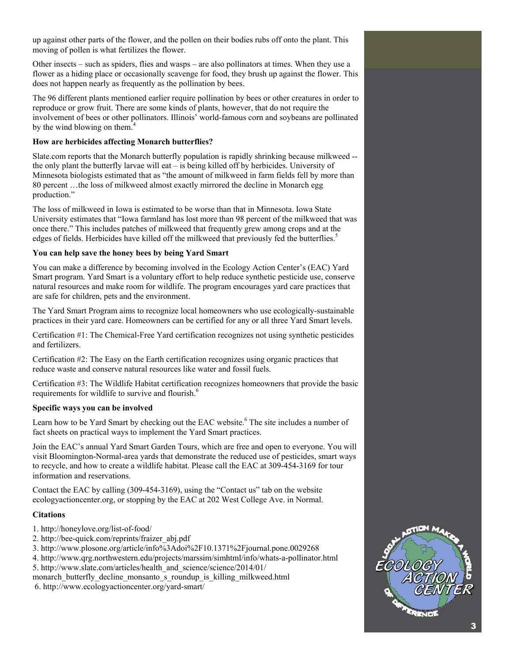up against other parts of the flower, and the pollen on their bodies rubs off onto the plant. This moving of pollen is what fertilizes the flower.

Other insects – such as spiders, flies and wasps – are also pollinators at times. When they use a flower as a hiding place or occasionally scavenge for food, they brush up against the flower. This does not happen nearly as frequently as the pollination by bees.

The 96 different plants mentioned earlier require pollination by bees or other creatures in order to reproduce or grow fruit. There are some kinds of plants, however, that do not require the involvement of bees or other pollinators. Illinois' world-famous corn and soybeans are pollinated by the wind blowing on them.<sup>4</sup>

#### **How are herbicides affecting Monarch butterflies?**

Slate.com reports that the Monarch butterfly population is rapidly shrinking because milkweed - the only plant the butterfly larvae will eat – is being killed off by herbicides. University of Minnesota biologists estimated that as "the amount of milkweed in farm fields fell by more than 80 percent …the loss of milkweed almost exactly mirrored the decline in Monarch egg production."

The loss of milkweed in Iowa is estimated to be worse than that in Minnesota. Iowa State University estimates that "Iowa farmland has lost more than 98 percent of the milkweed that was once there." This includes patches of milkweed that frequently grew among crops and at the edges of fields. Herbicides have killed off the milkweed that previously fed the butterflies.<sup>5</sup>

#### **You can help save the honey bees by being Yard Smart**

You can make a difference by becoming involved in the Ecology Action Center's (EAC) Yard Smart program. Yard Smart is a voluntary effort to help reduce synthetic pesticide use, conserve natural resources and make room for wildlife. The program encourages yard care practices that are safe for children, pets and the environment.

The Yard Smart Program aims to recognize local homeowners who use ecologically-sustainable practices in their yard care. Homeowners can be certified for any or all three Yard Smart levels.

Certification #1: The Chemical-Free Yard certification recognizes not using synthetic pesticides and fertilizers.

Certification #2: The Easy on the Earth certification recognizes using organic practices that reduce waste and conserve natural resources like water and fossil fuels.

Certification #3: The Wildlife Habitat certification recognizes homeowners that provide the basic requirements for wildlife to survive and flourish.<sup>6</sup>

#### **Specific ways you can be involved**

Learn how to be Yard Smart by checking out the EAC website.<sup>6</sup> The site includes a number of fact sheets on practical ways to implement the Yard Smart practices.

Join the EAC's annual Yard Smart Garden Tours, which are free and open to everyone. You will visit Bloomington-Normal-area yards that demonstrate the reduced use of pesticides, smart ways to recycle, and how to create a wildlife habitat. Please call the EAC at 309-454-3169 for tour information and reservations.

Contact the EAC by calling (309-454-3169), using the "Contact us" tab on the website ecologyactioncenter.org, or stopping by the EAC at 202 West College Ave. in Normal.

#### **Citations**

- 1. http://honeylove.org/list-of-food/
- 2. http://bee-quick.com/reprints/fraizer\_abj.pdf
- 3. http://www.plosone.org/article/info%3Adoi%2F10.1371%2Fjournal.pone.0029268
- 4. http://www.qrg.northwestern.edu/projects/marssim/simhtml/info/whats-a-pollinator.html
- 5. http://www.slate.com/articles/health\_and\_science/science/2014/01/
- monarch\_butterfly\_decline\_monsanto\_s\_roundup\_is\_killing\_milkweed.html
- 6. http://www.ecologyactioncenter.org/yard-smart/

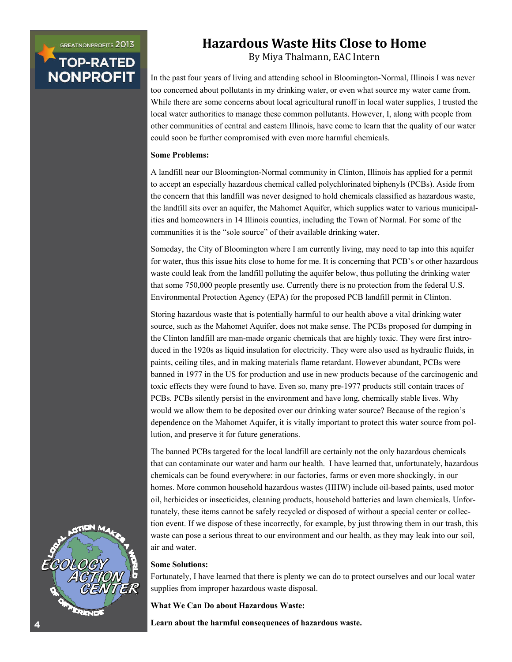**GREATNONPROFITS 2013** 

# **TOP-RATED NONPROFIT**

## **Hazardous Waste Hits Close to Home**

By Miya Thalmann, EAC Intern

In the past four years of living and attending school in Bloomington-Normal, Illinois I was never too concerned about pollutants in my drinking water, or even what source my water came from. While there are some concerns about local agricultural runoff in local water supplies, I trusted the local water authorities to manage these common pollutants. However, I, along with people from other communities of central and eastern Illinois, have come to learn that the quality of our water could soon be further compromised with even more harmful chemicals.

#### **Some Problems:**

A landfill near our Bloomington-Normal community in Clinton, Illinois has applied for a permit to accept an especially hazardous chemical called polychlorinated biphenyls (PCBs). Aside from the concern that this landfill was never designed to hold chemicals classified as hazardous waste, the landfill sits over an aquifer, the Mahomet Aquifer, which supplies water to various municipalities and homeowners in 14 Illinois counties, including the Town of Normal. For some of the communities it is the "sole source" of their available drinking water.

Someday, the City of Bloomington where I am currently living, may need to tap into this aquifer for water, thus this issue hits close to home for me. It is concerning that PCB's or other hazardous waste could leak from the landfill polluting the aquifer below, thus polluting the drinking water that some 750,000 people presently use. Currently there is no protection from the federal U.S. Environmental Protection Agency (EPA) for the proposed PCB landfill permit in Clinton.

Storing hazardous waste that is potentially harmful to our health above a vital drinking water source, such as the Mahomet Aquifer, does not make sense. The PCBs proposed for dumping in the Clinton landfill are man-made organic chemicals that are highly toxic. They were first introduced in the 1920s as liquid insulation for electricity. They were also used as hydraulic fluids, in paints, ceiling tiles, and in making materials flame retardant. However abundant, PCBs were banned in 1977 in the US for production and use in new products because of the carcinogenic and toxic effects they were found to have. Even so, many pre-1977 products still contain traces of PCBs. PCBs silently persist in the environment and have long, chemically stable lives. Why would we allow them to be deposited over our drinking water source? Because of the region's dependence on the Mahomet Aquifer, it is vitally important to protect this water source from pollution, and preserve it for future generations.

The banned PCBs targeted for the local landfill are certainly not the only hazardous chemicals that can contaminate our water and harm our health. I have learned that, unfortunately, hazardous chemicals can be found everywhere: in our factories, farms or even more shockingly, in our homes. More common household hazardous wastes (HHW) include oil-based paints, used motor oil, herbicides or insecticides, cleaning products, household batteries and lawn chemicals. Unfortunately, these items cannot be safely recycled or disposed of without a special center or collection event. If we dispose of these incorrectly, for example, by just throwing them in our trash, this waste can pose a serious threat to our environment and our health, as they may leak into our soil, air and water.

#### **Some Solutions:**

Fortunately, I have learned that there is plenty we can do to protect ourselves and our local water supplies from improper hazardous waste disposal.

**What We Can Do about Hazardous Waste:** 

**Learn about the harmful consequences of hazardous waste.** 

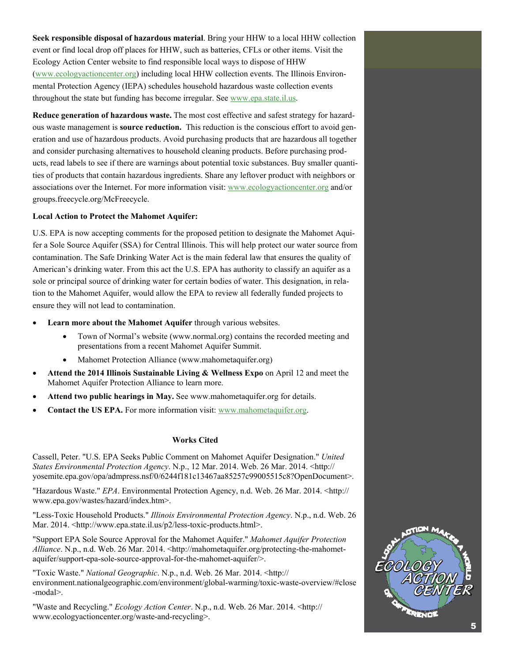**Seek responsible disposal of hazardous material**. Bring your HHW to a local HHW collection event or find local drop off places for HHW, such as batteries, CFLs or other items. Visit the Ecology Action Center website to find responsible local ways to dispose of HHW [\(www.ecologyactioncenter.org](http://www.ecologyactioncenter.org)) including local HHW collection events. The Illinois Environmental Protection Agency (IEPA) schedules household hazardous waste collection events throughout the state but funding has become irregular. See [www.epa.state.il.us.](http://www.epa.state.il.us)

**Reduce generation of hazardous waste.** The most cost effective and safest strategy for hazardous waste management is **source reduction.** This reduction is the conscious effort to avoid generation and use of hazardous products. Avoid purchasing products that are hazardous all together and consider purchasing alternatives to household cleaning products. Before purchasing products, read labels to see if there are warnings about potential toxic substances. Buy smaller quantities of products that contain hazardous ingredients. Share any leftover product with neighbors or associations over the Internet. For more information visit: [www.ecologyactioncenter.org](http://www.ecologyactioncenter.org) and/or groups.freecycle.org/McFreecycle.

#### **Local Action to Protect the Mahomet Aquifer:**

U.S. EPA is now accepting comments for the proposed petition to designate the Mahomet Aquifer a Sole Source Aquifer (SSA) for Central Illinois. This will help protect our water source from contamination. The Safe Drinking Water Act is the main federal law that ensures the quality of American's drinking water. From this act the U.S. EPA has authority to classify an aquifer as a sole or principal source of drinking water for certain bodies of water. This designation, in relation to the Mahomet Aquifer, would allow the EPA to review all federally funded projects to ensure they will not lead to contamination.

- **Learn more about the Mahomet Aquifer** through various websites.
	- Town of Normal's website (www.normal.org) contains the recorded meeting and presentations from a recent Mahomet Aquifer Summit.
	- Mahomet Protection Alliance (www.mahometaquifer.org)
- **Attend the 2014 Illinois Sustainable Living & Wellness Expo** on April 12 and meet the Mahomet Aquifer Protection Alliance to learn more.
- **Attend two public hearings in May.** See www.mahometaquifer.org for details.
- **Contact the US EPA.** For more information visit: [www.mahometaquifer.org.](http://www.mahometaquifer.org)

#### **Works Cited**

Cassell, Peter. "U.S. EPA Seeks Public Comment on Mahomet Aquifer Designation." *United States Environmental Protection Agency*. N.p., 12 Mar. 2014. Web. 26 Mar. 2014. <http:// yosemite.epa.gov/opa/admpress.nsf/0/6244f181c13467aa85257c99005515c8?OpenDocument>.

"Hazardous Waste." *EPA*. Environmental Protection Agency, n.d. Web. 26 Mar. 2014. <http:// www.epa.gov/wastes/hazard/index.htm>.

"Less-Toxic Household Products." *Illinois Environmental Protection Agency*. N.p., n.d. Web. 26 Mar. 2014. <http://www.epa.state.il.us/p2/less-toxic-products.html>.

"Support EPA Sole Source Approval for the Mahomet Aquifer." *Mahomet Aquifer Protection*  Alliance. N.p., n.d. Web. 26 Mar. 2014. <http://mahometaquifer.org/protecting-the-mahometaquifer/support-epa-sole-source-approval-for-the-mahomet-aquifer/>.

"Toxic Waste." *National Geographic*. N.p., n.d. Web. 26 Mar. 2014. <http:// environment.nationalgeographic.com/environment/global-warming/toxic-waste-overview/#close -modal>.

"Waste and Recycling." *Ecology Action Center*. N.p., n.d. Web. 26 Mar. 2014. <http:// www.ecologyactioncenter.org/waste-and-recycling>.